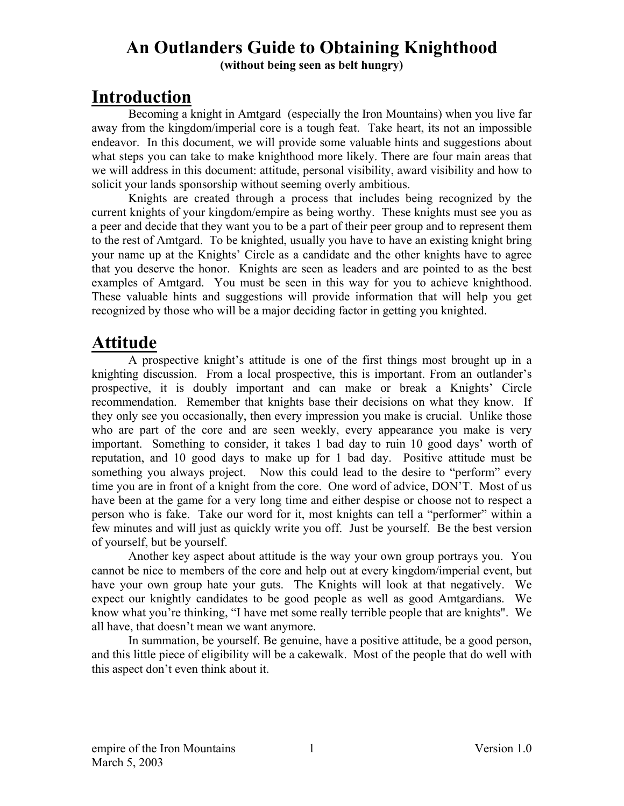# **An Outlanders Guide to Obtaining Knighthood**

**(without being seen as belt hungry)** 

## **Introduction**

Becoming a knight in Amtgard (especially the Iron Mountains) when you live far away from the kingdom/imperial core is a tough feat. Take heart, its not an impossible endeavor. In this document, we will provide some valuable hints and suggestions about what steps you can take to make knighthood more likely. There are four main areas that we will address in this document: attitude, personal visibility, award visibility and how to solicit your lands sponsorship without seeming overly ambitious.

Knights are created through a process that includes being recognized by the current knights of your kingdom/empire as being worthy. These knights must see you as a peer and decide that they want you to be a part of their peer group and to represent them to the rest of Amtgard. To be knighted, usually you have to have an existing knight bring your name up at the Knights' Circle as a candidate and the other knights have to agree that you deserve the honor. Knights are seen as leaders and are pointed to as the best examples of Amtgard. You must be seen in this way for you to achieve knighthood. These valuable hints and suggestions will provide information that will help you get recognized by those who will be a major deciding factor in getting you knighted.

# **Attitude**

A prospective knight's attitude is one of the first things most brought up in a knighting discussion. From a local prospective, this is important. From an outlander's prospective, it is doubly important and can make or break a Knights' Circle recommendation. Remember that knights base their decisions on what they know. If they only see you occasionally, then every impression you make is crucial. Unlike those who are part of the core and are seen weekly, every appearance you make is very important. Something to consider, it takes 1 bad day to ruin 10 good days' worth of reputation, and 10 good days to make up for 1 bad day. Positive attitude must be something you always project. Now this could lead to the desire to "perform" every time you are in front of a knight from the core. One word of advice, DON'T. Most of us have been at the game for a very long time and either despise or choose not to respect a person who is fake. Take our word for it, most knights can tell a "performer" within a few minutes and will just as quickly write you off. Just be yourself. Be the best version of yourself, but be yourself.

Another key aspect about attitude is the way your own group portrays you. You cannot be nice to members of the core and help out at every kingdom/imperial event, but have your own group hate your guts. The Knights will look at that negatively. We expect our knightly candidates to be good people as well as good Amtgardians. We know what you're thinking, "I have met some really terrible people that are knights". We all have, that doesn't mean we want anymore.

In summation, be yourself. Be genuine, have a positive attitude, be a good person, and this little piece of eligibility will be a cakewalk. Most of the people that do well with this aspect don't even think about it.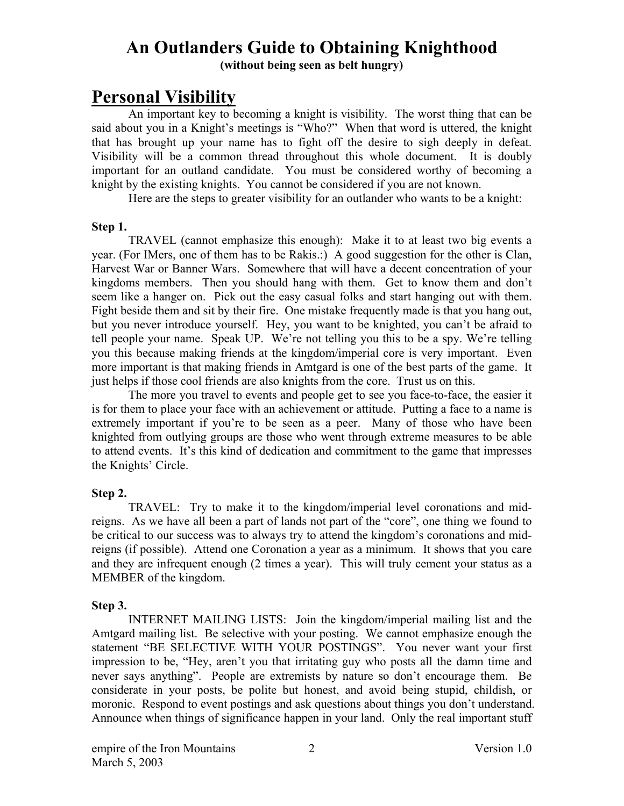## **An Outlanders Guide to Obtaining Knighthood**

**(without being seen as belt hungry)** 

## **Personal Visibility**

An important key to becoming a knight is visibility. The worst thing that can be said about you in a Knight's meetings is "Who?" When that word is uttered, the knight that has brought up your name has to fight off the desire to sigh deeply in defeat. Visibility will be a common thread throughout this whole document. It is doubly important for an outland candidate. You must be considered worthy of becoming a knight by the existing knights. You cannot be considered if you are not known.

Here are the steps to greater visibility for an outlander who wants to be a knight:

#### **Step 1.**

TRAVEL (cannot emphasize this enough): Make it to at least two big events a year. (For IMers, one of them has to be Rakis.:) A good suggestion for the other is Clan, Harvest War or Banner Wars. Somewhere that will have a decent concentration of your kingdoms members. Then you should hang with them. Get to know them and don't seem like a hanger on. Pick out the easy casual folks and start hanging out with them. Fight beside them and sit by their fire. One mistake frequently made is that you hang out, but you never introduce yourself. Hey, you want to be knighted, you can't be afraid to tell people your name. Speak UP. We're not telling you this to be a spy. We're telling you this because making friends at the kingdom/imperial core is very important. Even more important is that making friends in Amtgard is one of the best parts of the game. It just helps if those cool friends are also knights from the core. Trust us on this.

The more you travel to events and people get to see you face-to-face, the easier it is for them to place your face with an achievement or attitude. Putting a face to a name is extremely important if you're to be seen as a peer. Many of those who have been knighted from outlying groups are those who went through extreme measures to be able to attend events. It's this kind of dedication and commitment to the game that impresses the Knights' Circle.

#### **Step 2.**

TRAVEL: Try to make it to the kingdom/imperial level coronations and midreigns. As we have all been a part of lands not part of the "core", one thing we found to be critical to our success was to always try to attend the kingdom's coronations and midreigns (if possible). Attend one Coronation a year as a minimum. It shows that you care and they are infrequent enough (2 times a year). This will truly cement your status as a MEMBER of the kingdom.

#### **Step 3.**

INTERNET MAILING LISTS: Join the kingdom/imperial mailing list and the Amtgard mailing list. Be selective with your posting. We cannot emphasize enough the statement "BE SELECTIVE WITH YOUR POSTINGS". You never want your first impression to be, "Hey, aren't you that irritating guy who posts all the damn time and never says anything". People are extremists by nature so don't encourage them. Be considerate in your posts, be polite but honest, and avoid being stupid, childish, or moronic. Respond to event postings and ask questions about things you don't understand. Announce when things of significance happen in your land. Only the real important stuff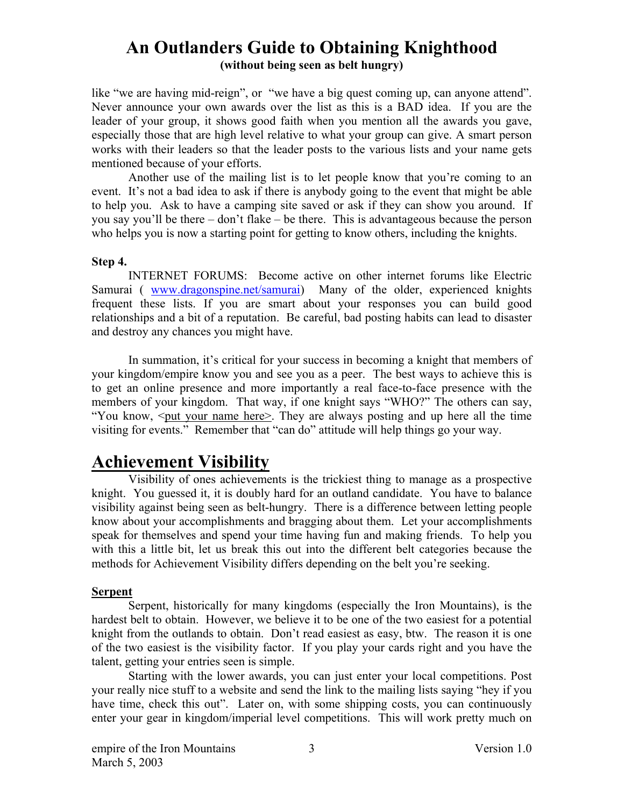like "we are having mid-reign", or "we have a big quest coming up, can anyone attend". Never announce your own awards over the list as this is a BAD idea. If you are the leader of your group, it shows good faith when you mention all the awards you gave, especially those that are high level relative to what your group can give. A smart person works with their leaders so that the leader posts to the various lists and your name gets mentioned because of your efforts.

Another use of the mailing list is to let people know that you're coming to an event. It's not a bad idea to ask if there is anybody going to the event that might be able to help you. Ask to have a camping site saved or ask if they can show you around. If you say you'll be there – don't flake – be there. This is advantageous because the person who helps you is now a starting point for getting to know others, including the knights.

#### **Step 4.**

INTERNET FORUMS: Become active on other internet forums like Electric Samurai ( [www.dragonspine.net/samurai\)](http://www.dragonspine.net/samurai) Many of the older, experienced knights frequent these lists. If you are smart about your responses you can build good relationships and a bit of a reputation. Be careful, bad posting habits can lead to disaster and destroy any chances you might have.

In summation, it's critical for your success in becoming a knight that members of your kingdom/empire know you and see you as a peer. The best ways to achieve this is to get an online presence and more importantly a real face-to-face presence with the members of your kingdom. That way, if one knight says "WHO?" The others can say, "You know,  $\leq$  put your name here  $\geq$ . They are always posting and up here all the time visiting for events." Remember that "can do" attitude will help things go your way.

## **Achievement Visibility**

Visibility of ones achievements is the trickiest thing to manage as a prospective knight. You guessed it, it is doubly hard for an outland candidate. You have to balance visibility against being seen as belt-hungry. There is a difference between letting people know about your accomplishments and bragging about them. Let your accomplishments speak for themselves and spend your time having fun and making friends. To help you with this a little bit, let us break this out into the different belt categories because the methods for Achievement Visibility differs depending on the belt you're seeking.

#### **Serpent**

Serpent, historically for many kingdoms (especially the Iron Mountains), is the hardest belt to obtain. However, we believe it to be one of the two easiest for a potential knight from the outlands to obtain. Don't read easiest as easy, btw. The reason it is one of the two easiest is the visibility factor. If you play your cards right and you have the talent, getting your entries seen is simple.

Starting with the lower awards, you can just enter your local competitions. Post your really nice stuff to a website and send the link to the mailing lists saying "hey if you have time, check this out". Later on, with some shipping costs, you can continuously enter your gear in kingdom/imperial level competitions. This will work pretty much on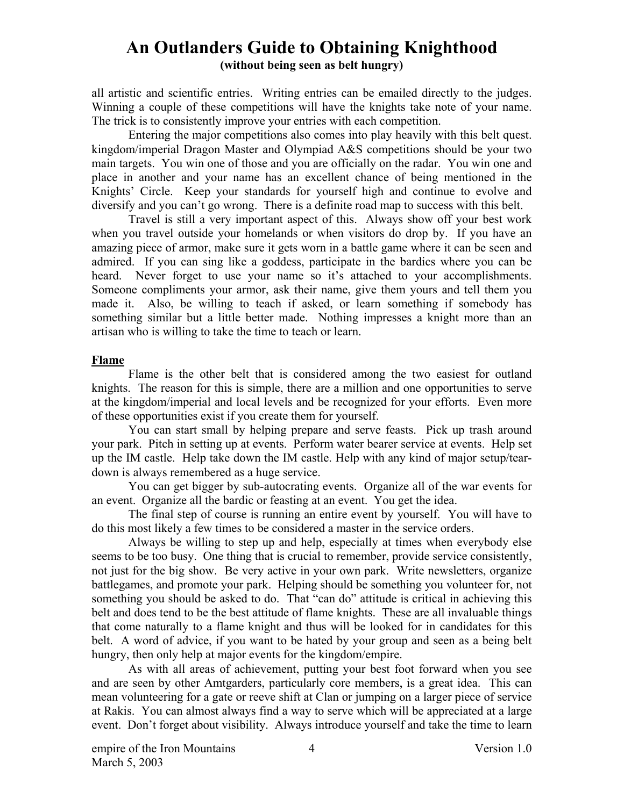all artistic and scientific entries. Writing entries can be emailed directly to the judges. Winning a couple of these competitions will have the knights take note of your name. The trick is to consistently improve your entries with each competition.

Entering the major competitions also comes into play heavily with this belt quest. kingdom/imperial Dragon Master and Olympiad A&S competitions should be your two main targets. You win one of those and you are officially on the radar. You win one and place in another and your name has an excellent chance of being mentioned in the Knights' Circle. Keep your standards for yourself high and continue to evolve and diversify and you can't go wrong. There is a definite road map to success with this belt.

Travel is still a very important aspect of this. Always show off your best work when you travel outside your homelands or when visitors do drop by. If you have an amazing piece of armor, make sure it gets worn in a battle game where it can be seen and admired. If you can sing like a goddess, participate in the bardics where you can be heard. Never forget to use your name so it's attached to your accomplishments. Someone compliments your armor, ask their name, give them yours and tell them you made it. Also, be willing to teach if asked, or learn something if somebody has something similar but a little better made. Nothing impresses a knight more than an artisan who is willing to take the time to teach or learn.

#### **Flame**

Flame is the other belt that is considered among the two easiest for outland knights. The reason for this is simple, there are a million and one opportunities to serve at the kingdom/imperial and local levels and be recognized for your efforts. Even more of these opportunities exist if you create them for yourself.

You can start small by helping prepare and serve feasts. Pick up trash around your park. Pitch in setting up at events. Perform water bearer service at events. Help set up the IM castle. Help take down the IM castle. Help with any kind of major setup/teardown is always remembered as a huge service.

You can get bigger by sub-autocrating events. Organize all of the war events for an event. Organize all the bardic or feasting at an event. You get the idea.

The final step of course is running an entire event by yourself. You will have to do this most likely a few times to be considered a master in the service orders.

Always be willing to step up and help, especially at times when everybody else seems to be too busy. One thing that is crucial to remember, provide service consistently, not just for the big show. Be very active in your own park. Write newsletters, organize battlegames, and promote your park. Helping should be something you volunteer for, not something you should be asked to do. That "can do" attitude is critical in achieving this belt and does tend to be the best attitude of flame knights. These are all invaluable things that come naturally to a flame knight and thus will be looked for in candidates for this belt. A word of advice, if you want to be hated by your group and seen as a being belt hungry, then only help at major events for the kingdom/empire.

As with all areas of achievement, putting your best foot forward when you see and are seen by other Amtgarders, particularly core members, is a great idea. This can mean volunteering for a gate or reeve shift at Clan or jumping on a larger piece of service at Rakis. You can almost always find a way to serve which will be appreciated at a large event. Don't forget about visibility. Always introduce yourself and take the time to learn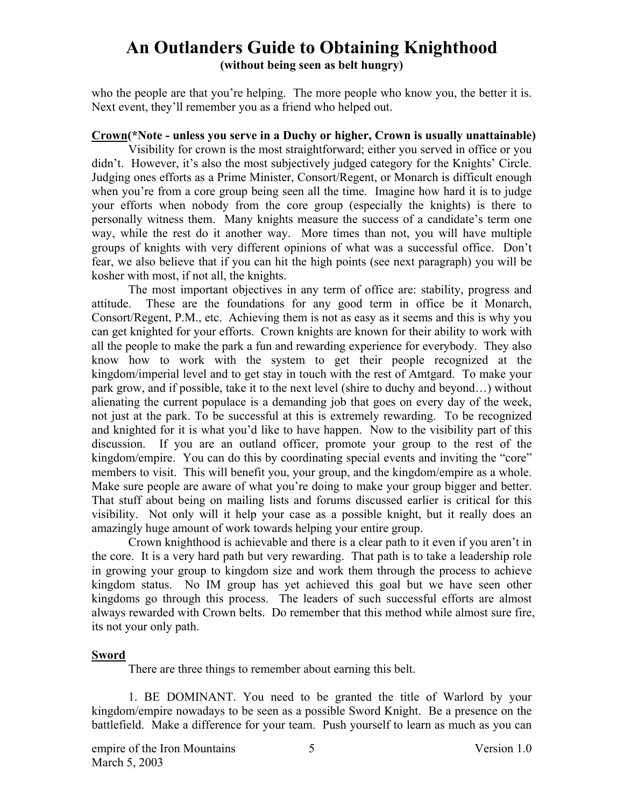# **An Outlanders Guide to Obtaining Knighthood**

**(without being seen as belt hungry)** 

who the people are that you're helping. The more people who know you, the better it is. Next event, they'll remember you as a friend who helped out.

#### **Crown(\*Note - unless you serve in a Duchy or higher, Crown is usually unattainable)**

Visibility for crown is the most straightforward; either you served in office or you didn't. However, it's also the most subjectively judged category for the Knights' Circle. Judging ones efforts as a Prime Minister, Consort/Regent, or Monarch is difficult enough when you're from a core group being seen all the time. Imagine how hard it is to judge your efforts when nobody from the core group (especially the knights) is there to personally witness them. Many knights measure the success of a candidate's term one way, while the rest do it another way. More times than not, you will have multiple groups of knights with very different opinions of what was a successful office. Don't fear, we also believe that if you can hit the high points (see next paragraph) you will be kosher with most, if not all, the knights.

The most important objectives in any term of office are: stability, progress and attitude. These are the foundations for any good term in office be it Monarch, Consort/Regent, P.M., etc. Achieving them is not as easy as it seems and this is why you can get knighted for your efforts. Crown knights are known for their ability to work with all the people to make the park a fun and rewarding experience for everybody. They also know how to work with the system to get their people recognized at the kingdom/imperial level and to get stay in touch with the rest of Amtgard. To make your park grow, and if possible, take it to the next level (shire to duchy and beyond…) without alienating the current populace is a demanding job that goes on every day of the week, not just at the park. To be successful at this is extremely rewarding. To be recognized and knighted for it is what you'd like to have happen. Now to the visibility part of this discussion. If you are an outland officer, promote your group to the rest of the kingdom/empire. You can do this by coordinating special events and inviting the "core" members to visit. This will benefit you, your group, and the kingdom/empire as a whole. Make sure people are aware of what you're doing to make your group bigger and better. That stuff about being on mailing lists and forums discussed earlier is critical for this visibility. Not only will it help your case as a possible knight, but it really does an amazingly huge amount of work towards helping your entire group.

Crown knighthood is achievable and there is a clear path to it even if you aren't in the core. It is a very hard path but very rewarding. That path is to take a leadership role in growing your group to kingdom size and work them through the process to achieve kingdom status. No IM group has yet achieved this goal but we have seen other kingdoms go through this process. The leaders of such successful efforts are almost always rewarded with Crown belts. Do remember that this method while almost sure fire, its not your only path.

#### **Sword**

There are three things to remember about earning this belt.

1. BE DOMINANT. You need to be granted the title of Warlord by your kingdom/empire nowadays to be seen as a possible Sword Knight. Be a presence on the battlefield. Make a difference for your team. Push yourself to learn as much as you can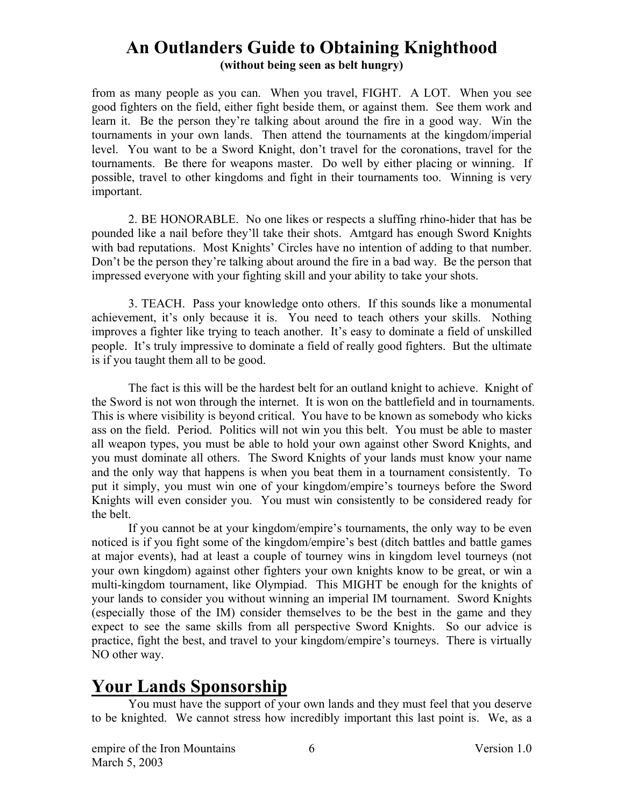from as many people as you can. When you travel, FIGHT. A LOT. When you see good fighters on the field, either fight beside them, or against them. See them work and learn it. Be the person they're talking about around the fire in a good way. Win the tournaments in your own lands. Then attend the tournaments at the kingdom/imperial level. You want to be a Sword Knight, don't travel for the coronations, travel for the tournaments. Be there for weapons master. Do well by either placing or winning. If possible, travel to other kingdoms and fight in their tournaments too. Winning is very important.

2. BE HONORABLE. No one likes or respects a sluffing rhino-hider that has be pounded like a nail before they'll take their shots. Amtgard has enough Sword Knights with bad reputations. Most Knights' Circles have no intention of adding to that number. Don't be the person they're talking about around the fire in a bad way. Be the person that impressed everyone with your fighting skill and your ability to take your shots.

3. TEACH. Pass your knowledge onto others. If this sounds like a monumental achievement, it's only because it is. You need to teach others your skills. Nothing improves a fighter like trying to teach another. It's easy to dominate a field of unskilled people. It's truly impressive to dominate a field of really good fighters. But the ultimate is if you taught them all to be good.

The fact is this will be the hardest belt for an outland knight to achieve. Knight of the Sword is not won through the internet. It is won on the battlefield and in tournaments. This is where visibility is beyond critical. You have to be known as somebody who kicks ass on the field. Period. Politics will not win you this belt. You must be able to master all weapon types, you must be able to hold your own against other Sword Knights, and you must dominate all others. The Sword Knights of your lands must know your name and the only way that happens is when you beat them in a tournament consistently. To put it simply, you must win one of your kingdom/empire's tourneys before the Sword Knights will even consider you. You must win consistently to be considered ready for the belt.

If you cannot be at your kingdom/empire's tournaments, the only way to be even noticed is if you fight some of the kingdom/empire's best (ditch battles and battle games at major events), had at least a couple of tourney wins in kingdom level tourneys (not your own kingdom) against other fighters your own knights know to be great, or win a multi-kingdom tournament, like Olympiad. This MIGHT be enough for the knights of your lands to consider you without winning an imperial IM tournament. Sword Knights (especially those of the IM) consider themselves to be the best in the game and they expect to see the same skills from all perspective Sword Knights. So our advice is practice, fight the best, and travel to your kingdom/empire's tourneys. There is virtually NO other way.

# **Your Lands Sponsorship**

You must have the support of your own lands and they must feel that you deserve to be knighted. We cannot stress how incredibly important this last point is. We, as a